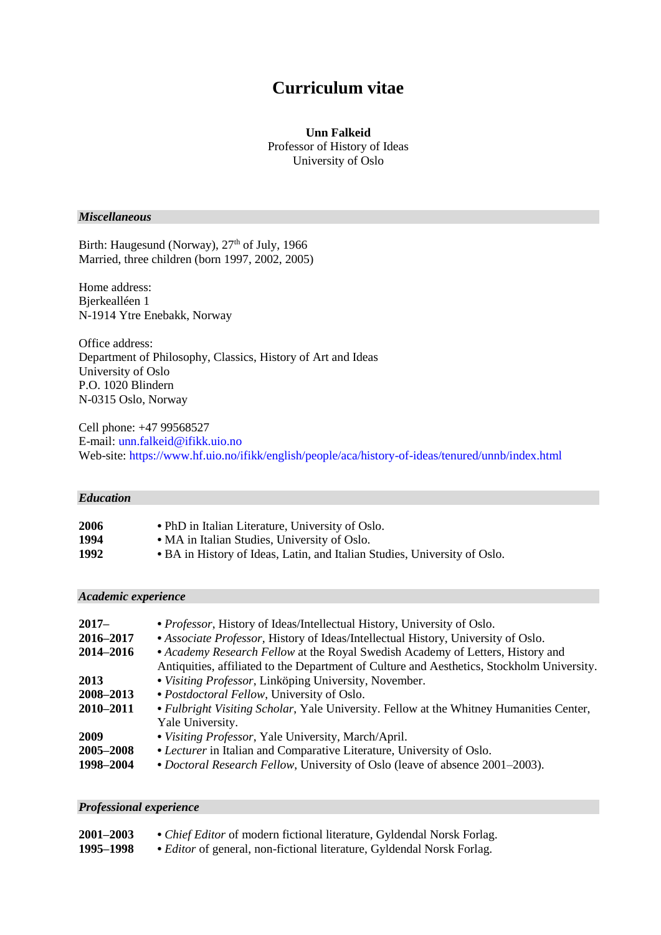# **Curriculum vitae**

## **Unn Falkeid** Professor of History of Ideas University of Oslo

# *Miscellaneous*

Birth: Haugesund (Norway), 27<sup>th</sup> of July, 1966 Married, three children (born 1997, 2002, 2005)

Home address: Bjerkealléen 1 N-1914 Ytre Enebakk, Norway

Office address: Department of Philosophy, Classics, History of Art and Ideas University of Oslo P.O. 1020 Blindern N-0315 Oslo, Norway

Cell phone: +47 99568527 E-mail[: unn.falkeid@ifikk.uio.no](mailto:unn.falkeid@ifikk.uio.no) Web-site:<https://www.hf.uio.no/ifikk/english/people/aca/history-of-ideas/tenured/unnb/index.html>

## *Education*

| 2006 | • PhD in Italian Literature, University of Oslo.                          |
|------|---------------------------------------------------------------------------|
| 1994 | • MA in Italian Studies, University of Oslo.                              |
| 1992 | • BA in History of Ideas, Latin, and Italian Studies, University of Oslo. |

|  |  | Academic experience |
|--|--|---------------------|
|  |  |                     |
|  |  |                     |

| $2017-$<br>2016-2017<br>2014-2016 | • Professor, History of Ideas/Intellectual History, University of Oslo.<br>• Associate Professor, History of Ideas/Intellectual History, University of Oslo.<br>• Academy Research Fellow at the Royal Swedish Academy of Letters, History and<br>Antiquities, affiliated to the Department of Culture and Aesthetics, Stockholm University. |
|-----------------------------------|----------------------------------------------------------------------------------------------------------------------------------------------------------------------------------------------------------------------------------------------------------------------------------------------------------------------------------------------|
| 2013                              | • Visiting Professor, Linköping University, November.                                                                                                                                                                                                                                                                                        |
| 2008-2013                         | • Postdoctoral Fellow, University of Oslo.                                                                                                                                                                                                                                                                                                   |
| 2010-2011                         | • Fulbright Visiting Scholar, Yale University. Fellow at the Whitney Humanities Center,<br>Yale University.                                                                                                                                                                                                                                  |
| 2009                              | • Visiting Professor, Yale University, March/April.                                                                                                                                                                                                                                                                                          |
| 2005-2008<br>1998-2004            | • Lecturer in Italian and Comparative Literature, University of Oslo.<br>• Doctoral Research Fellow, University of Oslo (leave of absence 2001–2003).                                                                                                                                                                                        |

### *Professional experience*

| 2001-2003 | • <i>Chief Editor</i> of modern fictional literature, Gyldendal Norsk Forlag. |
|-----------|-------------------------------------------------------------------------------|
| 1995–1998 | • <i>Editor</i> of general, non-fictional literature, Gyldendal Norsk Forlag. |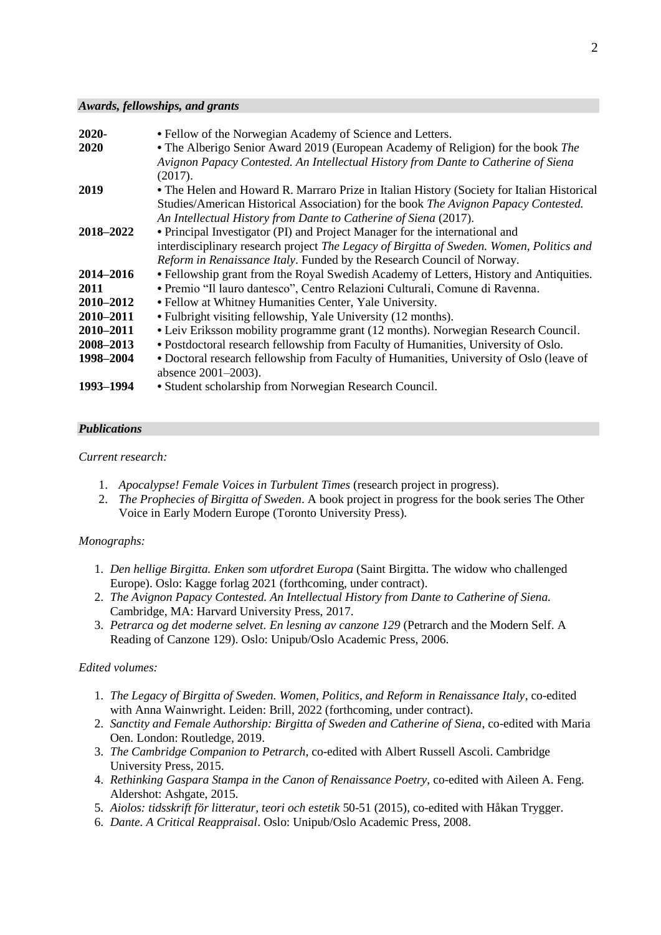#### *Awards, fellowships, and grants*

| $2020 -$    | • Fellow of the Norwegian Academy of Science and Letters.                                  |
|-------------|--------------------------------------------------------------------------------------------|
| <b>2020</b> | • The Alberigo Senior Award 2019 (European Academy of Religion) for the book The           |
|             | Avignon Papacy Contested. An Intellectual History from Dante to Catherine of Siena         |
|             | (2017).                                                                                    |
| 2019        | • The Helen and Howard R. Marraro Prize in Italian History (Society for Italian Historical |
|             | Studies/American Historical Association) for the book The Avignon Papacy Contested.        |
|             | An Intellectual History from Dante to Catherine of Siena (2017).                           |
| 2018-2022   | • Principal Investigator (PI) and Project Manager for the international and                |
|             | interdisciplinary research project The Legacy of Birgitta of Sweden. Women, Politics and   |
|             | Reform in Renaissance Italy. Funded by the Research Council of Norway.                     |
| 2014–2016   | • Fellowship grant from the Royal Swedish Academy of Letters, History and Antiquities.     |
| 2011        | • Premio "Il lauro dantesco", Centro Relazioni Culturali, Comune di Ravenna.               |
| 2010-2012   | • Fellow at Whitney Humanities Center, Yale University.                                    |
| 2010-2011   | • Fulbright visiting fellowship, Yale University (12 months).                              |
| 2010-2011   | • Leiv Eriksson mobility programme grant (12 months). Norwegian Research Council.          |
| 2008-2013   | • Postdoctoral research fellowship from Faculty of Humanities, University of Oslo.         |
| 1998–2004   | • Doctoral research fellowship from Faculty of Humanities, University of Oslo (leave of    |
|             | absence 2001-2003).                                                                        |
| 1993–1994   | • Student scholarship from Norwegian Research Council.                                     |
|             |                                                                                            |

#### *Publications*

#### *Current research:*

- 1. *Apocalypse! Female Voices in Turbulent Times* (research project in progress).
- 2. *The Prophecies of Birgitta of Sweden*. A book project in progress for the book series The Other Voice in Early Modern Europe (Toronto University Press).

## *Monographs:*

- 1. *Den hellige Birgitta. Enken som utfordret Europa* (Saint Birgitta. The widow who challenged Europe). Oslo: Kagge forlag 2021 (forthcoming, under contract).
- 2. *The Avignon Papacy Contested. An Intellectual History from Dante to Catherine of Siena.* Cambridge, MA: Harvard University Press, 2017.
- 3. *Petrarca og det moderne selvet. En lesning av canzone 129* (Petrarch and the Modern Self. A Reading of Canzone 129). Oslo: Unipub/Oslo Academic Press, 2006.

## *Edited volumes:*

- 1. *The Legacy of Birgitta of Sweden. Women, Politics, and Reform in Renaissance Italy*, co-edited with Anna Wainwright. Leiden: Brill, 2022 (forthcoming, under contract).
- 2. *Sanctity and Female Authorship: Birgitta of Sweden and Catherine of Siena*, co-edited with Maria Oen. London: Routledge, 2019.
- 3. *The Cambridge Companion to Petrarch*, co-edited with Albert Russell Ascoli. Cambridge University Press, 2015.
- 4. *Rethinking Gaspara Stampa in the Canon of Renaissance Poetry*, co-edited with Aileen A. Feng. Aldershot: Ashgate, 2015.
- 5. *Aiolos: tidsskrift för litteratur, teori och estetik* 50-51 (2015), co-edited with Håkan Trygger.
- 6. *Dante. A Critical Reappraisal*. Oslo: Unipub/Oslo Academic Press, 2008.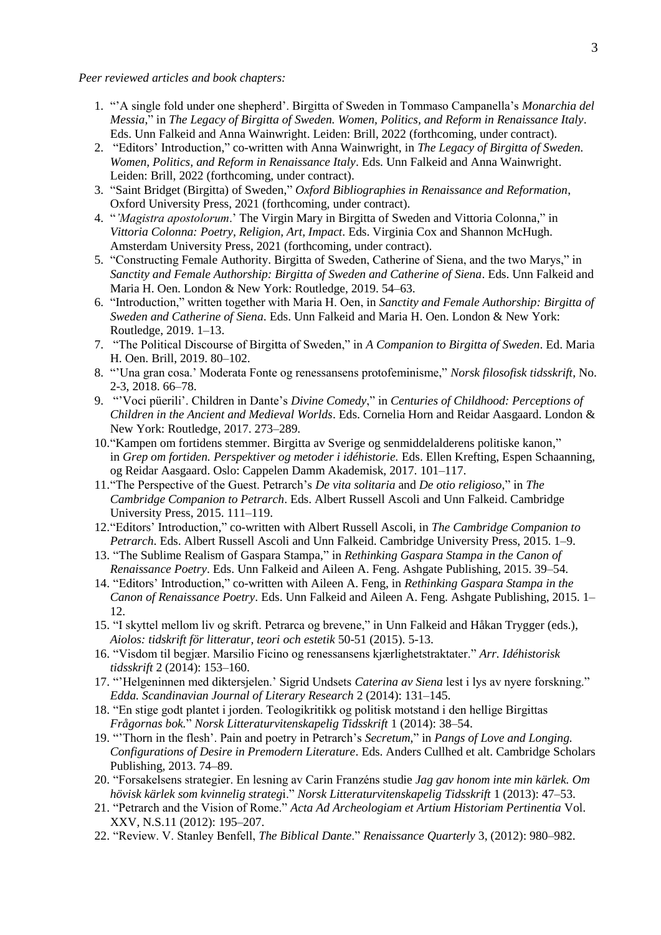*Peer reviewed articles and book chapters:* 

- 1. "'A single fold under one shepherd'. Birgitta of Sweden in Tommaso Campanella's *Monarchia del Messia*," in *The Legacy of Birgitta of Sweden. Women, Politics, and Reform in Renaissance Italy*. Eds. Unn Falkeid and Anna Wainwright. Leiden: Brill, 2022 (forthcoming, under contract).
- 2. "Editors' Introduction," co-written with Anna Wainwright, in *The Legacy of Birgitta of Sweden. Women, Politics, and Reform in Renaissance Italy*. Eds. Unn Falkeid and Anna Wainwright. Leiden: Brill, 2022 (forthcoming, under contract).
- 3. "Saint Bridget (Birgitta) of Sweden," *Oxford Bibliographies in Renaissance and Reformation*, Oxford University Press, 2021 (forthcoming, under contract).
- 4. "*'Magistra apostolorum*.' The Virgin Mary in Birgitta of Sweden and Vittoria Colonna," in *Vittoria Colonna: Poetry, Religion, Art, Impact*. Eds. Virginia Cox and Shannon McHugh. Amsterdam University Press, 2021 (forthcoming, under contract).
- 5. "Constructing Female Authority. Birgitta of Sweden, Catherine of Siena, and the two Marys," in *Sanctity and Female Authorship: Birgitta of Sweden and Catherine of Siena*. Eds. Unn Falkeid and Maria H. Oen. London & New York: Routledge, 2019. 54–63.
- 6. "Introduction," written together with Maria H. Oen, in *Sanctity and Female Authorship: Birgitta of Sweden and Catherine of Siena*. Eds. Unn Falkeid and Maria H. Oen. London & New York: Routledge, 2019. 1–13.
- 7. "The Political Discourse of Birgitta of Sweden," in *A Companion to Birgitta of Sweden*. Ed. Maria H. Oen. Brill, 2019. 80–102.
- 8. "'Una gran cosa.' Moderata Fonte og renessansens protofeminisme," *Norsk filosofisk tidsskrift*, No. 2-3, 2018. 66–78.
- 9. "'Voci püerili'. Children in Dante's *Divine Comedy*," in *Centuries of Childhood: Perceptions of Children in the Ancient and Medieval Worlds*. Eds. Cornelia Horn and Reidar Aasgaard. London & New York: Routledge, 2017. 273–289.
- 10."Kampen om fortidens stemmer. Birgitta av Sverige og senmiddelalderens politiske kanon," in *Grep om fortiden. Perspektiver og metoder i idéhistorie.* Eds. Ellen Krefting, Espen Schaanning, og Reidar Aasgaard. Oslo: Cappelen Damm Akademisk, 2017. 101–117.
- 11."The Perspective of the Guest. Petrarch's *De vita solitaria* and *De otio religioso*," in *The Cambridge Companion to Petrarch*. Eds. Albert Russell Ascoli and Unn Falkeid. Cambridge University Press, 2015. 111–119.
- 12."Editors' Introduction," co-written with Albert Russell Ascoli, in *The Cambridge Companion to Petrarch*. Eds. Albert Russell Ascoli and Unn Falkeid. Cambridge University Press, 2015. 1–9.
- 13. "The Sublime Realism of Gaspara Stampa," in *Rethinking Gaspara Stampa in the Canon of Renaissance Poetry*. Eds. Unn Falkeid and Aileen A. Feng. Ashgate Publishing, 2015. 39–54.
- 14. "Editors' Introduction," co-written with Aileen A. Feng, in *Rethinking Gaspara Stampa in the Canon of Renaissance Poetry*. Eds. Unn Falkeid and Aileen A. Feng. Ashgate Publishing, 2015. 1– 12.
- 15. "I skyttel mellom liv og skrift. Petrarca og brevene," in Unn Falkeid and Håkan Trygger (eds.), *Aiolos: tidskrift för litteratur, teori och estetik* 50-51 (2015). 5-13.
- 16. "Visdom til begjær. Marsilio Ficino og renessansens kjærlighetstraktater." *Arr. Idéhistorisk tidsskrift* 2 (2014): 153–160.
- 17. "'Helgeninnen med diktersjelen.' Sigrid Undsets *Caterina av Siena* lest i lys av nyere forskning." *Edda. Scandinavian Journal of Literary Research* 2 (2014): 131–145.
- 18. "En stige godt plantet i jorden. Teologikritikk og politisk motstand i den hellige Birgittas *Frågornas bok.*" *Norsk Litteraturvitenskapelig Tidsskrift* 1 (2014): 38–54.
- 19. "'Thorn in the flesh'. Pain and poetry in Petrarch's *Secretum*," in *Pangs of Love and Longing. Configurations of Desire in Premodern Literature*. Eds. Anders Cullhed et alt. Cambridge Scholars Publishing, 2013. 74–89.
- 20. "Forsakelsens strategier. En lesning av Carin Franzéns studie *Jag gav honom inte min kärlek. Om hövisk kärlek som kvinnelig strateg*i." *Norsk Litteraturvitenskapelig Tidsskrift* 1 (2013): 47–53.
- 21. "Petrarch and the Vision of Rome." *Acta Ad Archeologiam et Artium Historiam Pertinentia* Vol. XXV, N.S.11 (2012): 195–207.
- 22. "Review. V. Stanley Benfell, *The Biblical Dante*." *Renaissance Quarterly* 3, (2012): 980–982.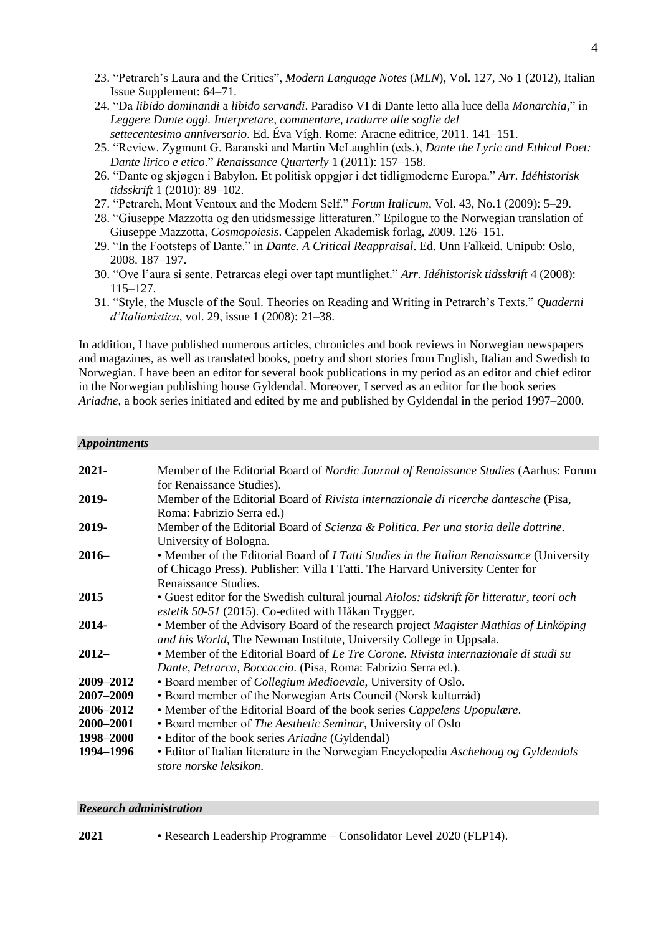- 23. "Petrarch's Laura and the Critics", *Modern Language Notes* (*MLN*), Vol. 127, No 1 (2012), Italian Issue Supplement: 64–71.
- 24. "Da *libido dominandi* a *libido servandi*. Paradiso VI di Dante letto alla luce della *Monarchia*," in *Leggere Dante oggi. Interpretare, commentare, tradurre alle soglie del settecentesimo anniversario*. Ed. Éva Vígh. Rome: Aracne editrice, 2011. 141–151.
- 25. "Review. Zygmunt G. Baranski and Martin McLaughlin (eds.), *Dante the Lyric and Ethical Poet: Dante lirico e etico*." *Renaissance Quarterly* 1 (2011): 157–158.
- 26. "Dante og skjøgen i Babylon. Et politisk oppgjør i det tidligmoderne Europa." *Arr. Idéhistorisk tidsskrift* 1 (2010): 89–102.
- 27. "Petrarch, Mont Ventoux and the Modern Self." *Forum Italicum*, Vol. 43, No.1 (2009): 5–29.
- 28. "Giuseppe Mazzotta og den utidsmessige litteraturen." Epilogue to the Norwegian translation of Giuseppe Mazzotta, *Cosmopoiesis*. Cappelen Akademisk forlag, 2009. 126–151.
- 29. "In the Footsteps of Dante." in *Dante. A Critical Reappraisal*. Ed. Unn Falkeid. Unipub: Oslo, 2008. 187–197.
- 30. "Ove l'aura si sente. Petrarcas elegi over tapt muntlighet." *Arr. Idéhistorisk tidsskrift* 4 (2008): 115–127.
- 31. "Style, the Muscle of the Soul. Theories on Reading and Writing in Petrarch's Texts." *Quaderni d'Italianistica*, vol. 29, issue 1 (2008): 21–38.

In addition, I have published numerous articles, chronicles and book reviews in Norwegian newspapers and magazines, as well as translated books, poetry and short stories from English, Italian and Swedish to Norwegian. I have been an editor for several book publications in my period as an editor and chief editor in the Norwegian publishing house Gyldendal. Moreover, I served as an editor for the book series *Ariadne*, a book series initiated and edited by me and published by Gyldendal in the period 1997–2000.

#### *Appointments*

| $2021 -$  | Member of the Editorial Board of <i>Nordic Journal of Renaissance Studies</i> (Aarhus: Forum |
|-----------|----------------------------------------------------------------------------------------------|
|           | for Renaissance Studies).                                                                    |
| 2019-     | Member of the Editorial Board of Rivista internazionale di ricerche dantesche (Pisa,         |
|           | Roma: Fabrizio Serra ed.)                                                                    |
| 2019-     | Member of the Editorial Board of Scienza & Politica. Per una storia delle dottrine.          |
|           | University of Bologna.                                                                       |
| $2016-$   | • Member of the Editorial Board of I Tatti Studies in the Italian Renaissance (University    |
|           | of Chicago Press). Publisher: Villa I Tatti. The Harvard University Center for               |
|           | Renaissance Studies.                                                                         |
| 2015      | • Guest editor for the Swedish cultural journal Aiolos: tidskrift för litteratur, teori och  |
|           | estetik 50-51 (2015). Co-edited with Håkan Trygger.                                          |
| 2014-     | • Member of the Advisory Board of the research project Magister Mathias of Linköping         |
|           | and his World, The Newman Institute, University College in Uppsala.                          |
|           |                                                                                              |
| $2012-$   | • Member of the Editorial Board of Le Tre Corone. Rivista internazionale di studi su         |
|           | Dante, Petrarca, Boccaccio. (Pisa, Roma: Fabrizio Serra ed.).                                |
| 2009-2012 | • Board member of <i>Collegium Medioevale</i> , University of Oslo.                          |
| 2007-2009 | • Board member of the Norwegian Arts Council (Norsk kulturråd)                               |
| 2006-2012 | • Member of the Editorial Board of the book series Cappelens Upopulære.                      |
| 2000-2001 | • Board member of The Aesthetic Seminar, University of Oslo                                  |
| 1998–2000 | • Editor of the book series Ariadne (Gyldendal)                                              |
| 1994-1996 | • Editor of Italian literature in the Norwegian Encyclopedia Aschehoug og Gyldendals         |
|           | store norske leksikon.                                                                       |
|           |                                                                                              |

#### *Research administration*

**2021** • Research Leadership Programme – Consolidator Level 2020 (FLP14).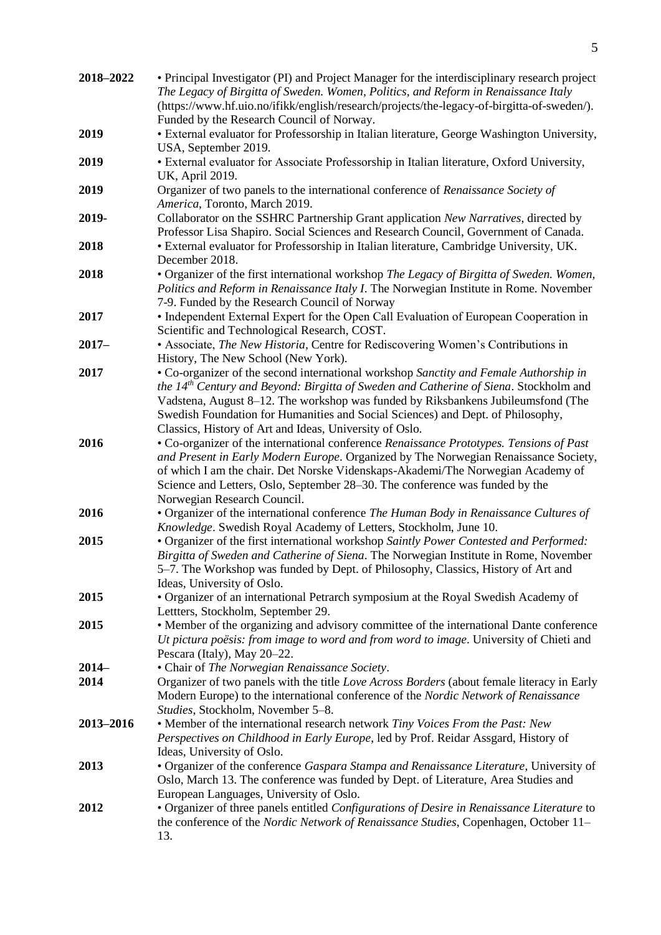| 2018-2022       | • Principal Investigator (PI) and Project Manager for the interdisciplinary research project<br>The Legacy of Birgitta of Sweden. Women, Politics, and Reform in Renaissance Italy<br>(https://www.hf.uio.no/ifikk/english/research/projects/the-legacy-of-birgitta-of-sweden/).<br>Funded by the Research Council of Norway.                                                                                                               |
|-----------------|---------------------------------------------------------------------------------------------------------------------------------------------------------------------------------------------------------------------------------------------------------------------------------------------------------------------------------------------------------------------------------------------------------------------------------------------|
| 2019            | • External evaluator for Professorship in Italian literature, George Washington University,<br>USA, September 2019.                                                                                                                                                                                                                                                                                                                         |
| 2019            | • External evaluator for Associate Professorship in Italian literature, Oxford University,<br>UK, April 2019.                                                                                                                                                                                                                                                                                                                               |
| 2019            | Organizer of two panels to the international conference of Renaissance Society of<br>America, Toronto, March 2019.                                                                                                                                                                                                                                                                                                                          |
| 2019-           | Collaborator on the SSHRC Partnership Grant application New Narratives, directed by<br>Professor Lisa Shapiro. Social Sciences and Research Council, Government of Canada.                                                                                                                                                                                                                                                                  |
| 2018            | · External evaluator for Professorship in Italian literature, Cambridge University, UK.<br>December 2018.                                                                                                                                                                                                                                                                                                                                   |
| 2018            | • Organizer of the first international workshop The Legacy of Birgitta of Sweden. Women,<br>Politics and Reform in Renaissance Italy I. The Norwegian Institute in Rome. November<br>7-9. Funded by the Research Council of Norway                                                                                                                                                                                                          |
| 2017            | • Independent External Expert for the Open Call Evaluation of European Cooperation in<br>Scientific and Technological Research, COST.                                                                                                                                                                                                                                                                                                       |
| $2017 -$        | • Associate, The New Historia, Centre for Rediscovering Women's Contributions in<br>History, The New School (New York).                                                                                                                                                                                                                                                                                                                     |
| 2017            | • Co-organizer of the second international workshop Sanctity and Female Authorship in<br>the 14 <sup>th</sup> Century and Beyond: Birgitta of Sweden and Catherine of Siena. Stockholm and<br>Vadstena, August 8-12. The workshop was funded by Riksbankens Jubileumsfond (The<br>Swedish Foundation for Humanities and Social Sciences) and Dept. of Philosophy,                                                                           |
| 2016            | Classics, History of Art and Ideas, University of Oslo.<br>• Co-organizer of the international conference Renaissance Prototypes. Tensions of Past<br>and Present in Early Modern Europe. Organized by The Norwegian Renaissance Society,<br>of which I am the chair. Det Norske Videnskaps-Akademi/The Norwegian Academy of<br>Science and Letters, Oslo, September 28-30. The conference was funded by the<br>Norwegian Research Council. |
| 2016            | • Organizer of the international conference The Human Body in Renaissance Cultures of<br>Knowledge. Swedish Royal Academy of Letters, Stockholm, June 10.                                                                                                                                                                                                                                                                                   |
| 2015            | • Organizer of the first international workshop Saintly Power Contested and Performed:<br>Birgitta of Sweden and Catherine of Siena. The Norwegian Institute in Rome, November<br>5–7. The Workshop was funded by Dept. of Philosophy, Classics, History of Art and<br>Ideas, University of Oslo.                                                                                                                                           |
| 2015            | • Organizer of an international Petrarch symposium at the Royal Swedish Academy of<br>Lettters, Stockholm, September 29.                                                                                                                                                                                                                                                                                                                    |
| 2015            | • Member of the organizing and advisory committee of the international Dante conference<br>Ut pictura poësis: from image to word and from word to image. University of Chieti and<br>Pescara (Italy), May 20–22.                                                                                                                                                                                                                            |
| $2014-$<br>2014 | • Chair of The Norwegian Renaissance Society.<br>Organizer of two panels with the title Love Across Borders (about female literacy in Early<br>Modern Europe) to the international conference of the Nordic Network of Renaissance<br>Studies, Stockholm, November 5-8.                                                                                                                                                                     |
| 2013-2016       | • Member of the international research network Tiny Voices From the Past: New<br>Perspectives on Childhood in Early Europe, led by Prof. Reidar Assgard, History of<br>Ideas, University of Oslo.                                                                                                                                                                                                                                           |
| 2013            | • Organizer of the conference Gaspara Stampa and Renaissance Literature, University of<br>Oslo, March 13. The conference was funded by Dept. of Literature, Area Studies and<br>European Languages, University of Oslo.                                                                                                                                                                                                                     |
| 2012            | • Organizer of three panels entitled Configurations of Desire in Renaissance Literature to<br>the conference of the Nordic Network of Renaissance Studies, Copenhagen, October 11–<br>13.                                                                                                                                                                                                                                                   |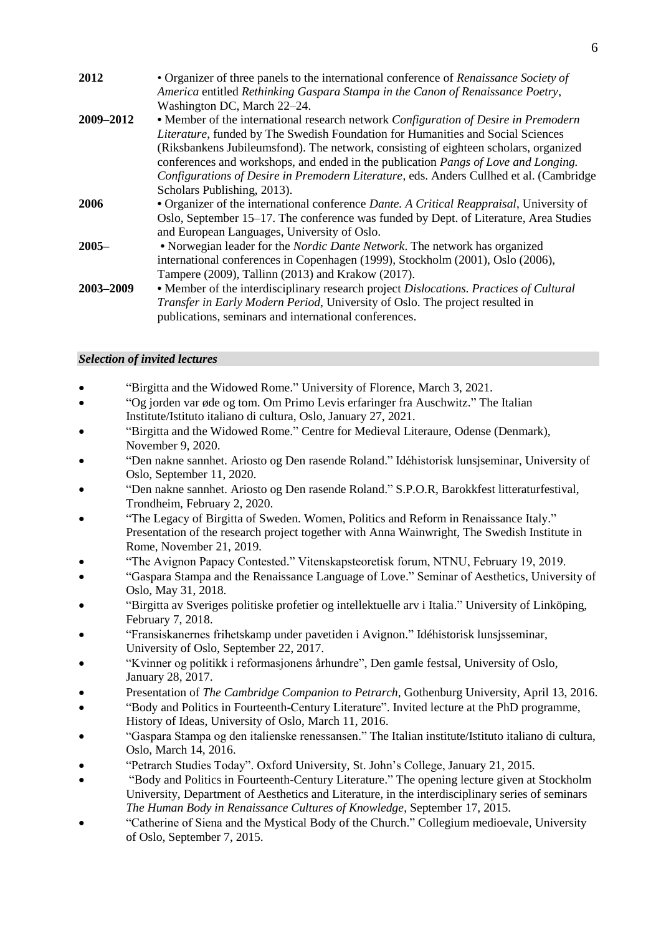| 2012      | • Organizer of three panels to the international conference of Renaissance Society of            |
|-----------|--------------------------------------------------------------------------------------------------|
|           | America entitled Rethinking Gaspara Stampa in the Canon of Renaissance Poetry,                   |
|           | Washington DC, March 22-24.                                                                      |
| 2009-2012 | • Member of the international research network Configuration of Desire in Premodern              |
|           | Literature, funded by The Swedish Foundation for Humanities and Social Sciences                  |
|           | (Riksbankens Jubileumsfond). The network, consisting of eighteen scholars, organized             |
|           | conferences and workshops, and ended in the publication <i>Pangs of Love and Longing</i> .       |
|           | Configurations of Desire in Premodern Literature, eds. Anders Cullhed et al. (Cambridge          |
|           | Scholars Publishing, 2013).                                                                      |
| 2006      | • Organizer of the international conference <i>Dante. A Critical Reappraisal</i> , University of |
|           | Oslo, September 15–17. The conference was funded by Dept. of Literature, Area Studies            |
|           | and European Languages, University of Oslo.                                                      |
| $2005 -$  | • Norwegian leader for the <i>Nordic Dante Network</i> . The network has organized               |
|           | international conferences in Copenhagen (1999), Stockholm (2001), Oslo (2006),                   |
|           | Tampere (2009), Tallinn (2013) and Krakow (2017).                                                |
| 2003-2009 | • Member of the interdisciplinary research project Dislocations. Practices of Cultural           |
|           | Transfer in Early Modern Period, University of Oslo. The project resulted in                     |
|           | publications, seminars and international conferences.                                            |

## *Selection of invited lectures*

- "Birgitta and the Widowed Rome." University of Florence, March 3, 2021.
- "Og jorden var øde og tom. Om Primo Levis erfaringer fra Auschwitz." The Italian Institute/Istituto italiano di cultura, Oslo, January 27, 2021.
- "Birgitta and the Widowed Rome." Centre for Medieval Literaure, Odense (Denmark), November 9, 2020.
- "Den nakne sannhet. Ariosto og Den rasende Roland." Idéhistorisk lunsjseminar, University of Oslo, September 11, 2020.
- "Den nakne sannhet. Ariosto og Den rasende Roland." S.P.O.R, Barokkfest litteraturfestival, Trondheim, February 2, 2020.
- "The Legacy of Birgitta of Sweden. Women, Politics and Reform in Renaissance Italy." Presentation of the research project together with Anna Wainwright, The Swedish Institute in Rome, November 21, 2019.
- "The Avignon Papacy Contested." Vitenskapsteoretisk forum, NTNU, February 19, 2019.
- "Gaspara Stampa and the Renaissance Language of Love." Seminar of Aesthetics, University of Oslo, May 31, 2018.
- "Birgitta av Sveriges politiske profetier og intellektuelle arv i Italia." University of Linköping, February 7, 2018.
- "Fransiskanernes frihetskamp under pavetiden i Avignon." Idéhistorisk lunsjsseminar, University of Oslo, September 22, 2017.
- "Kvinner og politikk i reformasjonens århundre", Den gamle festsal, University of Oslo, January 28, 2017.
- Presentation of *The Cambridge Companion to Petrarch*, Gothenburg University, April 13, 2016.
- "Body and Politics in Fourteenth-Century Literature". Invited lecture at the PhD programme, History of Ideas, University of Oslo, March 11, 2016.
- "Gaspara Stampa og den italienske renessansen." The Italian institute/Istituto italiano di cultura, Oslo, March 14, 2016.
- "Petrarch Studies Today". Oxford University, St. John's College, January 21, 2015.
- "Body and Politics in Fourteenth-Century Literature." The opening lecture given at Stockholm University, Department of Aesthetics and Literature, in the interdisciplinary series of seminars *The Human Body in Renaissance Cultures of Knowledge*, September 17, 2015.
- "Catherine of Siena and the Mystical Body of the Church." Collegium medioevale, University of Oslo, September 7, 2015.